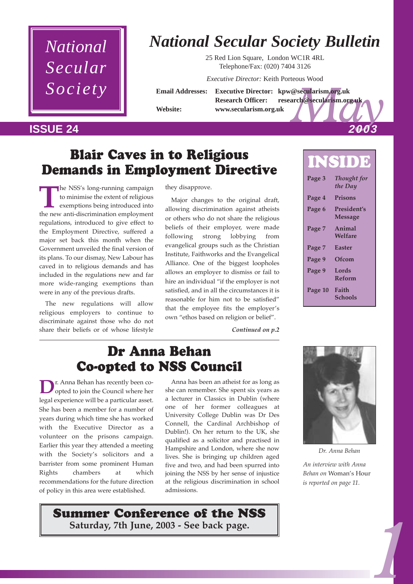# *National Secular Society*

# *National Secular Society Bulletin*

25 Red Lion Square, London WC1R 4RL Telephone/Fax: (020) 7404 3126

*Executive Director:* Keith Porteous Wood

**Executarism.org.uk**<br>arch<sup>@</sup>secularism.org.uk<br>2003 **Email Addresses: Executive Director: kpw@secularism.org.uk Research Officer: research@secularism.org.uk Website: www.secularism.org.uk**

### **ISSUE 24 2003**

# Blair Caves in to Religious Demands in Employment Directive

The NSS's long-running campaign to minimise the extent of religious exemptions being introduced into the new anti-discrimination employment regulations, introduced to give effect to the Employment Directive, suffered a major set back this month when the Government unveiled the final version of its plans. To our dismay, New Labour has caved in to religious demands and has included in the regulations new and far more wide-ranging exemptions than were in any of the previous drafts.

The new regulations will allow religious employers to continue to discriminate against those who do not share their beliefs or of whose lifestyle

they disapprove.

Major changes to the original draft, allowing discrimination against atheists or others who do not share the religious beliefs of their employer, were made following strong lobbying from evangelical groups such as the Christian Institute, Faithworks and the Evangelical Alliance. One of the biggest loopholes allows an employer to dismiss or fail to hire an individual "if the employer is not satisfied, and in all the circumstances it is reasonable for him not to be satisfied" that the employee fits the employer's own "ethos based on religion or belief".

*Continued on p.2*

### Dr Anna Behan Co-opted to NSS Council

**D**<sup>r.</sup> Anna Behan has recently been co-<br>opted to join the Council where her legal experience will be a particular asset. She has been a member for a number of years during which time she has worked with the Executive Director as a volunteer on the prisons campaign. Earlier this year they attended a meeting with the Societyís solicitors and a barrister from some prominent Human Rights chambers at which recommendations for the future direction of policy in this area were established.

Anna has been an atheist for as long as she can remember. She spent six years as a lecturer in Classics in Dublin (where one of her former colleagues at University College Dublin was Dr Des Connell, the Cardinal Archbishop of Dublin!). On her return to the UK, she qualified as a solicitor and practised in Hampshire and London, where she now lives. She is bringing up children aged five and two, and had been spurred into joining the NSS by her sense of injustice at the religious discrimination in school admissions.



*Dr. Anna Behan*

*An interview with Anna Behan on* Womanís Hour *is reported on page 11.*

*1*

Summer Conference of the NSS **Saturday, 7th June, 2003 - See back page.**

| 1 O D I |                        |
|---------|------------------------|
| Page 3  | Thought for<br>the Day |
| Page 4  | Prisons                |
| Page 6  | President's<br>Message |
| Page 7  | Animal<br>Welfare      |
| Page 7  | <b>Easter</b>          |
| Page 9  | Ofcom                  |
| Page 9  | Lords<br><b>Reform</b> |
| Page 10 | Faith<br>Schools       |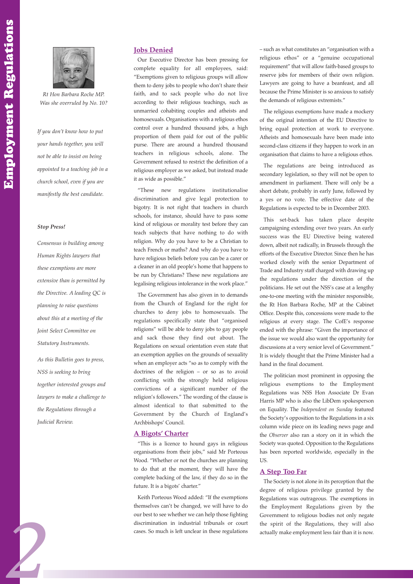

*Rt Hon Barbara Roche MP. Was she overruled by No. 10?*

*If you donít know how to put your hands together, you will not be able to insist on being appointed to a teaching job in a church school, even if you are manifestly the best candidate.*

#### *Stop Press!*

*Consensus is building among Human Rights lawyers that these exemptions are more extensive than is permitted by the Directive. A leading QC is planning to raise questions about this at a meeting of the Joint Select Committee on Statutory Instruments.*

*As this Bulletin goes to press, NSS is seeking to bring together interested groups and lawyers to make a challenge to the Regulations through a Judicial Review.*

*2*

#### **Jobs Denied**

Our Executive Director has been pressing for complete equality for all employees, said: "Exemptions given to religious groups will allow them to deny jobs to people who don't share their faith, and to sack people who do not live according to their religious teachings, such as unmarried cohabiting couples and atheists and homosexuals. Organisations with a religious ethos control over a hundred thousand jobs, a high proportion of them paid for out of the public purse. There are around a hundred thousand teachers in religious schools, alone. The Government refused to restrict the definition of a religious employer as we asked, but instead made it as wide as possible."

ìThese new regulations institutionalise discrimination and give legal protection to bigotry. It is not right that teachers in church schools, for instance, should have to pass some kind of religious or morality test before they can teach subjects that have nothing to do with religion. Why do you have to be a Christian to teach French or maths? And why do you have to have religious beliefs before you can be a carer or a cleaner in an old people's home that happens to be run by Christians? These new regulations are legalising religious intolerance in the work place."

The Government has also given in to demands from the Church of England for the right for churches to deny jobs to homosexuals. The regulations specifically state that "organised religions" will be able to deny jobs to gay people and sack those they find out about. The Regulations on sexual orientation even state that an exemption applies on the grounds of sexuality when an employer acts "so as to comply with the doctrines of the religion  $-$  or so as to avoid conflicting with the strongly held religious convictions of a significant number of the religion's followers." The wording of the clause is almost identical to that submitted to the Government by the Church of England's Archbishops' Council.

#### **A Bigotsí Charter**

ìThis is a licence to hound gays in religious organisations from their jobs," said Mr Porteous Wood. "Whether or not the churches are planning to do that at the moment, they will have the complete backing of the law, if they do so in the future. It is a bigots' charter."

Keith Porteous Wood added: "If the exemptions themselves can't be changed, we will have to do our best to see whether we can help those fighting discrimination in industrial tribunals or court cases. So much is left unclear in these regulations

- such as what constitutes an "organisation with a religious ethos" or a "genuine occupational requirement" that will allow faith-based groups to reserve jobs for members of their own religion. Lawyers are going to have a beanfeast, and all because the Prime Minister is so anxious to satisfy the demands of religious extremists."

The religious exemptions have made a mockery of the original intention of the EU Directive to bring equal protection at work to everyone. Atheists and homosexuals have been made into second-class citizens if they happen to work in an organisation that claims to have a religious ethos.

The regulations are being introduced as secondary legislation, so they will not be open to amendment in parliament. There will only be a short debate, probably in early June, followed by a yes or no vote. The effective date of the Regulations is expected to be in December 2003.

This set-back has taken place despite campaigning extending over two years. An early success was the EU Directive being watered down, albeit not radically, in Brussels through the efforts of the Executive Director. Since then he has worked closely with the senior Department of Trade and Industry staff charged with drawing up the regulations under the direction of the politicians. He set out the NSS's case at a lengthy one-to-one meeting with the minister responsible, the Rt Hon Barbara Roche, MP at the Cabinet Office. Despite this, concessions were made to the religious at every stage. The CofE's response ended with the phrase: "Given the importance of the issue we would also want the opportunity for discussions at a very senior level of Government." It is widely thought that the Prime Minister had a hand in the final document.

The politician most prominent in opposing the religious exemptions to the Employment Regulations was NSS Hon Associate Dr Evan Harris MP who is also the LibDem spokesperson on Equality. The *Independent on Sunday* featured the Society's opposition to the Regulations in a six column wide piece on its leading news page and the *Observer* also ran a story on it in which the Society was quoted. Opposition to the Regulations has been reported worldwide, especially in the US.

#### **A Step Too Far**

The Society is not alone in its perception that the degree of religious privilege granted by the Regulations was outrageous. The exemptions in the Employment Regulations given by the Government to religious bodies not only negate the spirit of the Regulations, they will also actually make employment less fair than it is now.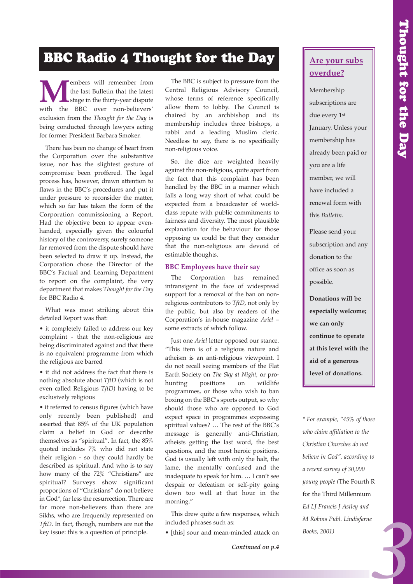# **BBC Radio 4 Thought for the Day Are your subs**

**M**embers will remember from<br>the last Bulletin that the latest<br>with the BBC over pop-believers' the last Bulletin that the latest stage in the thirty-year dispute with the BBC over non-believers' exclusion from the *Thought for the Day* is being conducted through lawyers acting for former President Barbara Smoker.

There has been no change of heart from the Corporation over the substantive issue, nor has the slightest gesture of compromise been proffered. The legal process has, however, drawn attention to flaws in the BBC's procedures and put it under pressure to reconsider the matter, which so far has taken the form of the Corporation commissioning a Report. Had the objective been to appear evenhanded, especially given the colourful history of the controversy, surely someone far removed from the dispute should have been selected to draw it up. Instead, the Corporation chose the Director of the BBC's Factual and Learning Department to report on the complaint, the very department that makes *Thought for the Day* for BBC Radio 4.

What was most striking about this detailed Report was that:

• it completely failed to address our key complaint - that the non-religious are being discriminated against and that there is no equivalent programme from which the religious are barred

• it did not address the fact that there is nothing absolute about *TftD* (which is not even called Religious *TftD*) having to be exclusively religious

• it referred to census figures (which have only recently been published) and asserted that 85% of the UK population claim a belief in God or describe themselves as "spiritual". In fact, the  $85\%$ quoted includes 7% who did not state their religion - so they could hardly be described as spiritual. And who is to say how many of the 72% "Christians" are spiritual? Surveys show significant proportions of "Christians" do not believe in God\*, far less the resurrection. There are far more non-believers than there are Sikhs, who are frequently represented on *TftD*. In fact, though, numbers are not the key issue: this is a question of principle.

The BBC is subject to pressure from the Central Religious Advisory Council, whose terms of reference specifically allow them to lobby. The Council is chaired by an archbishop and its membership includes three bishops, a rabbi and a leading Muslim cleric. Needless to say, there is no specifically non-religious voice.

So, the dice are weighted heavily against the non-religious, quite apart from the fact that this complaint has been handled by the BBC in a manner which falls a long way short of what could be expected from a broadcaster of worldclass repute with public commitments to fairness and diversity. The most plausible explanation for the behaviour for those opposing us could be that they consider that the non-religious are devoid of estimable thoughts.

#### **BBC Employees have their say**

The Corporation has remained intransigent in the face of widespread support for a removal of the ban on nonreligious contributors to *TftD*, not only by the public, but also by readers of the Corporation's in-house magazine Ariel some extracts of which follow.

Just one *Ariel* letter opposed our stance. "This item is of a religious nature and atheism is an anti-religious viewpoint. I do not recall seeing members of the Flat Earth Society on *The Sky at Night*, or prohunting positions on wildlife programmes, or those who wish to ban boxing on the BBC's sports output, so why should those who are opposed to God expect space in programmes expressing spiritual values? ... The rest of the BBC's message is generally anti-Christian, atheists getting the last word, the best questions, and the most heroic positions. God is usually left with only the halt, the lame, the mentally confused and the inadequate to speak for him. ... I can't see despair or defeatism or self-pity going down too well at that hour in the morning."

This drew quite a few responses, which included phrases such as:

• [this] sour and mean-minded attack on

# **overdue?**

Membership subscriptions are due every 1st January. Unless your membership has already been paid or you are a life member, we will have included a renewal form with this *Bulletin.* 

Please send your subscription and any donation to the office as soon as possible.

**Donations will be especially welcome; we can only continue to operate at this level with the aid of a generous level of donations.**

*3 \* For example, ì45% of those who claim affiliation to the Christian Churches do not believe in Godî, according to a recent survey of 30,000 young people (*The Fourth R for the Third Millennium *Ed LJ Francis J Astley and M Robins Publ. Lindisfarne Books, 2001)*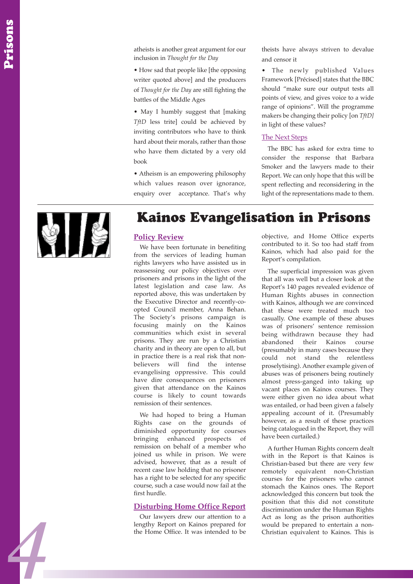atheists is another great argument for our inclusion in *Thought for the Day*

• How sad that people like [the opposing writer quoted above] and the producers of *Thought for the Day* are still fighting the battles of the Middle Ages

• May I humbly suggest that [making *TftD* less trite] could be achieved by inviting contributors who have to think hard about their morals, rather than those who have them dictated by a very old book

• Atheism is an empowering philosophy which values reason over ignorance, enquiry over acceptance. That's why theists have always striven to devalue and censor it

The newly published Values Framework [Précised] states that the BBC should "make sure our output tests all points of view, and gives voice to a wide range of opinions". Will the programme makers be changing their policy [on *TftD]* in light of these values?

### The Next Steps

The BBC has asked for extra time to consider the response that Barbara Smoker and the lawyers made to their Report. We can only hope that this will be spent reflecting and reconsidering in the light of the representations made to them.



*4*

### Kainos Evangelisation in Prisons

### **Policy Review**

We have been fortunate in benefiting from the services of leading human rights lawyers who have assisted us in reassessing our policy objectives over prisoners and prisons in the light of the latest legislation and case law. As reported above, this was undertaken by the Executive Director and recently-coopted Council member, Anna Behan. The Societyís prisons campaign is focusing mainly on the Kainos communities which exist in several prisons. They are run by a Christian charity and in theory are open to all, but in practice there is a real risk that nonbelievers will find the intense evangelising oppressive. This could have dire consequences on prisoners given that attendance on the Kainos course is likely to count towards remission of their sentences.

We had hoped to bring a Human Rights case on the grounds of diminished opportunity for courses bringing enhanced prospects of remission on behalf of a member who joined us while in prison. We were advised, however, that as a result of recent case law holding that no prisoner has a right to be selected for any specific course, such a case would now fail at the first hurdle.

### **Disturbing Home Office Report**

Our lawyers drew our attention to a lengthy Report on Kainos prepared for the Home Office. It was intended to be objective, and Home Office experts contributed to it. So too had staff from Kainos, which had also paid for the Report's compilation.

The superficial impression was given that all was well but a closer look at the Report's 140 pages revealed evidence of Human Rights abuses in connection with Kainos, although we are convinced that these were treated much too casually. One example of these abuses was of prisoners' sentence remission being withdrawn because they had abandoned their Kainos course (presumably in many cases because they could not stand the relentless proselytising). Another example given of abuses was of prisoners being routinely almost press-ganged into taking up vacant places on Kainos courses. They were either given no idea about what was entailed, or had been given a falsely appealing account of it. (Presumably however, as a result of these practices being catalogued in the Report, they will have been curtailed.)

A further Human Rights concern dealt with in the Report is that Kainos is Christian-based but there are very few remotely equivalent non-Christian courses for the prisoners who cannot stomach the Kainos ones. The Report acknowledged this concern but took the position that this did not constitute discrimination under the Human Rights Act as long as the prison authorities would be prepared to entertain a non-Christian equivalent to Kainos. This is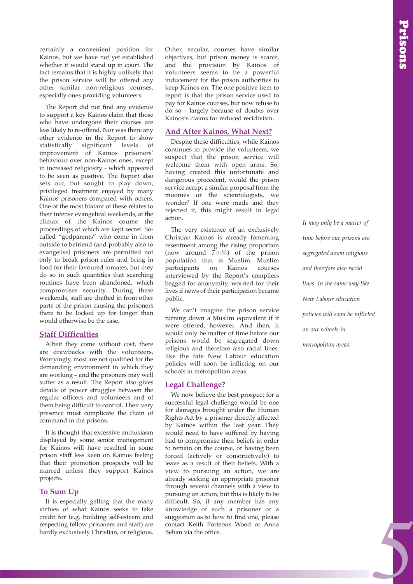certainly a convenient position for Kainos, but we have not yet established whether it would stand up in court. The fact remains that it is highly unlikely that the prison service will be offered any other similar non-religious courses, especially ones providing volunteers.

The Report did not find any evidence to support a key Kainos claim that those who have undergone their courses are less likely to re-offend. Nor was there any other evidence in the Report to show statistically significant levels of improvement of Kainos prisoners' behaviour over non-Kainos ones, except in increased religiosity - which appeared to be seen as positive. The Report also sets out, but sought to play down, privileged treatment enjoyed by many Kainos prisoners compared with others. One of the most blatant of these relates to their intense evangelical weekends, at the climax of the Kainos course the proceedings of which are kept secret. Socalled "godparents" who come in from outside to befriend (and probably also to evangelise) prisoners are permitted not only to break prison rules and bring in food for their favoured inmates, but they do so in such quantities that searching routines have been abandoned, which compromises security. During these weekends, staff are drafted in from other parts of the prison causing the prisoners there to be locked up for longer than would otherwise be the case.

#### **Staff Difficulties**

Albeit they come without cost, there are drawbacks with the volunteers. Worryingly, most are not qualified for the demanding environment in which they are working - and the prisoners may well suffer as a result. The Report also gives details of power struggles between the regular officers and volunteers and of them being difficult to control. Their very presence must complicate the chain of command in the prisons.

It is thought that excessive enthusiasm displayed by some senior management for Kainos will have resulted in some prison staff less keen on Kainos feeling that their promotion prospects will be marred unless they support Kainos projects.

#### **To Sum Up**

It is especially galling that the many virtues of what Kainos seeks to take credit for (e.g. building self-esteem and respecting fellow prisoners and staff) are hardly exclusively Christian, or religious.

Other, secular, courses have similar objectives, but prison money is scarce, and the provision by Kainos of volunteers seems to be a powerful inducement for the prison authorities to keep Kainos on. The one positive item to report is that the prison service used to pay for Kainos courses, but now refuse to do so - largely because of doubts over Kainos's claims for reduced recidivism.

#### **And After Kainos, What Next?**

Despite these difficulties, while Kainos continues to provide the volunteers, we suspect that the prison service will welcome them with open arms. So, having created this unfortunate and dangerous precedent, would the prison service accept a similar proposal from the moonies or the scientologists, we wonder? If one were made and they rejected it, this might result in legal action.

The very existence of an exclusively Christian Kainos is already fomenting resentment among the rising proportion (now around  $71/2\%$ ) of the prison population that is Muslim. Muslim participants on Kainos courses interviewed by the Report's compilers begged for anonymity, worried for their lives if news of their participation became public.

We can't imagine the prison service turning down a Muslim equivalent if it were offered, however. And then, it would only be matter of time before our prisons would be segregated down religious and therefore also racial lines, like the fate New Labour education policies will soon be inflicting on our schools in metropolitan areas.

#### **Legal Challenge?**

We now believe the best prospect for a successful legal challenge would be one for damages brought under the Human Rights Act by a prisoner directly affected by Kainos within the last year. They would need to have suffered by having had to compromise their beliefs in order to remain on the course, or having been forced (actively or constructively) to leave as a result of their beliefs. With a view to pursuing an action, we are already seeking an appropriate prisoner through several channels with a view to pursuing an action, but this is likely to be difficult. So, if any member has any knowledge of such a prisoner or a suggestion as to how to find one, please contact Keith Porteous Wood or Anna Behan via the office.

*It may only be a matter of time before our prisons are segregated down religious and therefore also racial lines. In the same way like New Labour education policies will soon be inflicted on our schools in metropolitan areas.*

*5*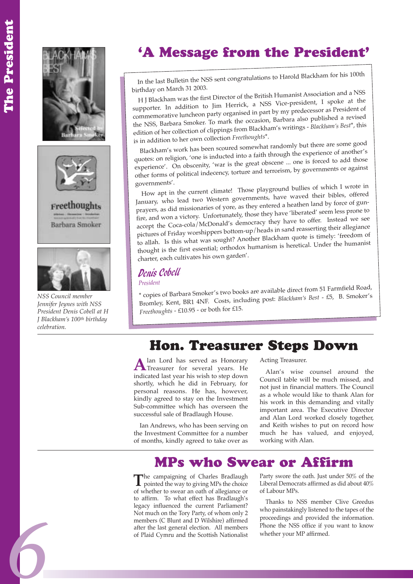



Freethoughts Barbara Smoker



*NSS Council member Jennifer Jeynes with NSS President Denis Cobell at H J Blackhamís 100th birthday celebration.*

*6*

# 'A Message from the President'

In the last Bulletin the NSS sent congratulations to Harold Blackham for his 100th birthday on March 31 2003.

H J Blackham was the first Director of the British Humanist Association and a NSS supporter. In addition to Jim Herrick, a NSS Vice-president, I spoke at the commemorative luncheon party organised in part by my predecessor as President of the NSS, Barbara Smoker. To mark the occasion, Barbara also published a revised edition of her collection of clippings from Blackhamís writings - *Blackhamís Best*\*, this is in addition to her own collection *Freethoughts*\*.

Blackhamís work has been scoured somewhat randomly but there are some goo<sup>d</sup> quotes: on religion, 'one is inducted into a faith through the experience of another's experience'. On obscenity, 'war is the great obscene ... one is forced to add those other forms of political indecency, torture and terrorism, by governments or against governments'.

How apt in the current climate! Those playground bullies of which I wrote in January, who lead two Western governments, have waved their bibles, offered prayers, as did missionaries of yore, as they entered a heathen land by force of gunfire, and won a victory. Unfortunately, those they have 'liberated' seem less prone to accept the Coca-cola/McDonald's democracy they have to offer. Instead we see pictures of Friday worshippers bottom-up/heads in sand reasserting their allegiance to allah. Is this what was sought? Another Blackham quote is timely: 'freedom of thought is the first essential; orthodox humanism is heretical. Under the humanist charter, each cultivates his own garden'.

### Denis Cobell

*President*

\* copies of Barbara Smokerís two books are available direct from 51 Farmfield Road, Bromley, Kent, BR1 4NF. Costs, including post: *Blackhamís Best* - £5, B. Smokerís *Freethoughts* - £10.95 - or both for £15.

### Hon. Treasurer Steps Down

Alan Lord has served as Honorary<br>Treasurer for several years. He indicated last year his wish to step down shortly, which he did in February, for personal reasons. He has, however, kindly agreed to stay on the Investment Sub-committee which has overseen the successful sale of Bradlaugh House.

Ian Andrews, who has been serving on the Investment Committee for a number of months, kindly agreed to take over as Acting Treasurer.

Alanís wise counsel around the Council table will be much missed, and not just in financial matters. The Council as a whole would like to thank Alan for his work in this demanding and vitally important area. The Executive Director and Alan Lord worked closely together, and Keith wishes to put on record how much he has valued, and enjoyed, working with Alan.

### MPs who Swear or Affirm

**The campaigning of Charles Bradlaugh pointed the way to giving MPs the choice** of whether to swear an oath of allegiance or to affirm. To what effect has Bradlaugh's legacy influenced the current Parliament? Not much on the Tory Party, of whom only 2 members (C Blunt and D Wilshire) affirmed after the last general election. All members of Plaid Cymru and the Scottish Nationalist

Party swore the oath. Just under 50% of the Liberal Democrats affirmed as did about 40% of Labour MPs.

Thanks to NSS member Clive Greedus who painstakingly listened to the tapes of the proceedings and provided the information. Phone the NSS office if you want to know whether your MP affirmed.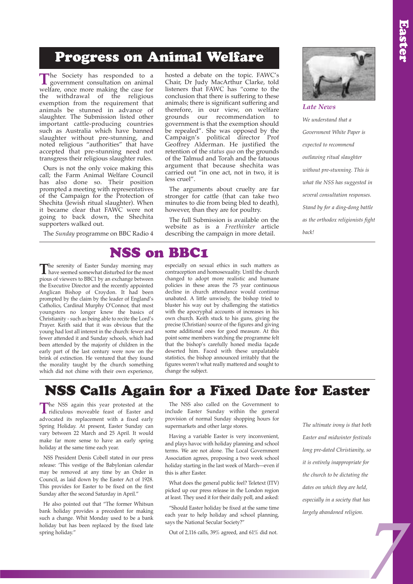# Progress on Animal Welfare

**The Society has responded to a**<br>government consultation on animal welfare, once more making the case for the withdrawal of the religious exemption from the requirement that animals be stunned in advance of slaughter. The Submission listed other important cattle-producing countries such as Australia which have banned slaughter without pre-stunning, and noted religious "authorities" that have accepted that pre-stunning need not transgress their religious slaughter rules.

Ours is not the only voice making this call; the Farm Animal Welfare Council has also done so. Their position prompted a meeting with representatives of the Campaign for the Protection of Shechita (Jewish ritual slaughter). When it became clear that FAWC were not going to back down, the Shechita supporters walked out.

The *Sunday* programme on BBC Radio 4

hosted a debate on the topic. FAWC's Chair, Dr Judy MacArthur Clarke, told listeners that FAWC has "come to the conclusion that there is suffering to these animals; there is significant suffering and therefore, in our view, on welfare grounds our recommendation to government is that the exemption should be repealed". She was opposed by the Campaign's political director Prof Geoffrey Alderman. He justified the retention of the *status quo* on the grounds of the Talmud and Torah and the fatuous argument that because shechita was carried out "in one act, not in two, it is less cruel".

The arguments about cruelty are far stronger for cattle (that can take two minutes to die from being bled to death), however, than they are for poultry.

The full Submission is available on the website as is a *Freethinker* article describing the campaign in more detail.

# NSS on BBC1

The serenity of Easter Sunday morning may<br>have seemed somewhat disturbed for the most pious of viewers to BBC1 by an exchange between the Executive Director and the recently appointed Anglican Bishop of Croydon. It had been prompted by the claim by the leader of England's Catholics, Cardinal Murphy O'Connor, that most youngsters no longer knew the basics of Christianity - such as being able to recite the Lord's Prayer. Keith said that it was obvious that the young had lost all interest in the church: fewer and fewer attended it and Sunday schools, which had been attended by the majority of children in the early part of the last century were now on the brink of extinction. He ventured that they found the morality taught by the church something which did not chime with their own experience,

especially on sexual ethics in such matters as contraception and homosexuality. Until the church changed to adopt more realistic and humane policies in these areas the 75 year continuous decline in church attendance would continue unabated. A little unwisely, the bishop tried to bluster his way out by challenging the statistics with the apocryphal accounts of increases in his own church. Keith stuck to his guns, giving the precise (Christian) source of the figures and giving some additional ones for good measure. At this point some members watching the programme felt that the bishop's carefully honed media façade deserted him. Faced with these unpalatable statistics, the bishop announced irritably that the figures weren't what really mattered and sought to change the subject.

# NSS Calls Again for a Fixed Date for Easter

**T**he NSS again this year protested at the ridiculous moveable feast of Easter and advocated its replacement with a fixed early Spring Holiday. At present, Easter Sunday can vary between 22 March and 25 April. It would make far more sense to have an early spring holiday at the same time each year.

NSS President Denis Cobell stated in our press release: 'This vestige of the Babylonian calendar may be removed at any time by an Order in Council, as laid down by the Easter Act of 1928. This provides for Easter to be fixed on the first Sunday after the second Saturday in April."

He also pointed out that "The former Whitsun bank holiday provides a precedent for making such a change. Whit Monday used to be a bank holiday but has been replaced by the fixed late spring holiday."

The NSS also called on the Government to include Easter Sunday within the general provision of normal Sunday shopping hours for supermarkets and other large stores.

Having a variable Easter is very inconvenient, and plays havoc with holiday planning and school terms. We are not alone. The Local Government Association agrees, proposing a two week school holiday starting in the last week of March—even if this is after Easter.

What does the general public feel? Teletext (ITV) picked up our press release in the London region at least. They used it for their daily poll, and asked:

"Should Easter holiday be fixed at the same time each year to help holiday and school planning, says the National Secular Society?"

Out of 2,116 calls, 39% agreed, and 61% did not.

*The ultimate irony is that both*

*7 Easter and midwinter festivals long pre-dated Christianity, so it is entirely inappropriate for the church to be dictating the dates on which they are held, especially in a society that has largely abandoned religion.*



*Late News We understand that a Government White Paper is expected to recommend outlawing ritual slaughter without pre-stunning. This is what the NSS has suggested in several consultation responses. Stand by for a ding-dong battle as the orthodox religionists fight back!*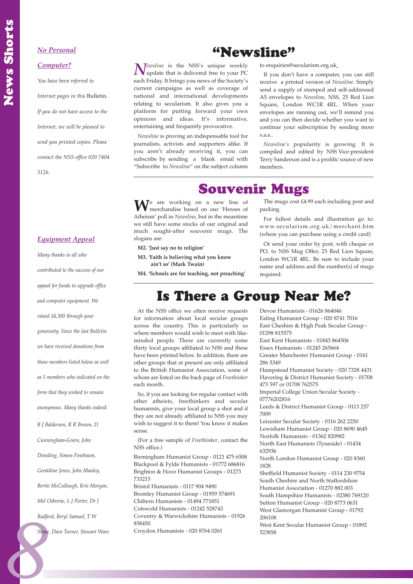### *No Personal*

### *Computer?*

*You have been referred to*

*Internet pages in this* Bulletin*. If you do not have access to the Internet, we will be pleased to send you printed copies. Please contact the NSS office 020 7404 3126.*

Rady<br>Ston *Equipment Appeal Many thanks to all who contributed to the success of our appeal for funds to upgrade office and computer equipment. We raised £4,300 through your generosity. Since the last Bulletin we have received donations from those members listed below as well as 5 members who indicated on the form that they wished to remain anonymous. Many thanks indeed: B J Balderson, R R Brown, D Cunningham-Green, John Dowding, Simon Finebaum, Geraldine Jones, John Manley, Bertie McCullough, Kris Morgan, Mel Osborne, L J Porter, Dr J Radford, Beryl Samuel, T W Stone, Dave Turner, Stewart Ware.*

# "Newsline"

*N<sup>ewsline* is the NSS's unique weekly update that is delivered free to your PC</sup> each Friday. It brings you news of the Society's current campaigns as well as coverage of national and international developments relating to secularism. It also gives you a platform for putting forward your own opinions and ideas. It's informative, entertaining and frequently provocative.

*Newsline* is proving an indispensable tool for journalists, activists and supporters alike. If you aren't already receiving it, you can subscribe by sending a blank email with ìSubscribe to *Newsline*î on the subject column to enquiries@secularism.org.uk

If you don't have a computer, you can still receive a printed version of *Newsline*. Simply send a supply of stamped and self-addressed A5 envelopes to *Newsline*, NSS, 25 Red Lion Square, London WC1R 4RL. When your envelopes are running out, we'll remind you and you can then decide whether you want to continue your subscription by sending more s.a.e..

*Newslineís* popularity is growing. It is compiled and edited by NSS Vice-president Terry Sanderson and is a prolific source of new members.

### Souvenir Mugs

We are working on a new line of merchandise based on our 'Heroes of Atheismí poll in *Newsline*, but in the meantime we still have some stocks of our original and much sought-after souvenir mugs. The slogans are:

M2. 'Just say no to religion'

**M3.** 'Faith is believing what you know **ainít soí (Mark Twain)**

**M4. ëSchools are for teaching, not preachingí**

The mugs cost £4.99 each including post and packing.

For fullest details and illustration go to: www.secularism.org.uk/merchant.htm (where you can purchase using a credit card)

Or send your order by post, with cheque or PO, to NSS Mug Offer, 25 Red Lion Square, London WC1R 4RL. Be sure to include your name and address and the number(s) of mugs required.

# Is There a Group Near Me?

At the NSS office we often receive requests for information about local secular groups across the country. This is particularly so where members would wish to meet with likeminded people. There are currently some thirty local groups affiliated to NSS and these have been printed below. In addition, there are other groups that at present are only affiliated to the British Humanist Association, some of whom are listed on the back page of *Freethinker* each month.

So, if you are looking for regular contact with other atheists, freethinkers and secular humanists, give your local group a shot and if they are not already affiliated to NSS you may wish to suggest it to them! You know it makes sense.

(For a free sample of *Freethinker*, contact the NSS office.)

Birmingham Humanist Group - 0121 475 6508 Blackpool & Fylde Humanists - 01772 686816 Brighton & Hove Humanist Groups - 01273 733215

Bristol Humanists - 0117 904 9490 Bromley Humanist Group - 01959 574691 Chiltern Humanists - 01494 771851 Cotswold Humanists - 01242 528743 Coventry & Warwickshire Humanists - 01926 858450

Croydon Humanists - 020 8764 0261

Devon Humanists - 01626 864046 Ealing Humanist Group - 020 8741 7016 East Cheshire & High Peak Secular Group - 01298 815575 East Kent Humanists - 01843 864506 Essex Humanists - 01245 265664 Greater Manchester Humanist Group - 0161 286 5349 Hampstead Humanist Society - 020 7328 4431 Havering & District Humanist Society - 01708 473 597 or 01708 762575 Imperial College Union Secular Society - 07776202816 Leeds & District Humanist Group - 0113 257 7009 Leicester Secular Society - 0116 262 2250 Lewisham Humanist Group - 020 8690 4645 Norfolk Humanists - 01362 820982 North East Humanists (Tyneside) - 01434 632936 North London Humanist Group - 020 8360 1828 Sheffield Humanist Society - 0114 230 9754 South Cheshire and North Staffordshire Humanist Association - 01270 882 003 South Hampshire Humanists - 02380 769120 Sutton Humanist Group - 020 8773 0631 West Glamorgan Humanist Group - 01792 206108 West Kent Secular Humanist Group - 01892 523858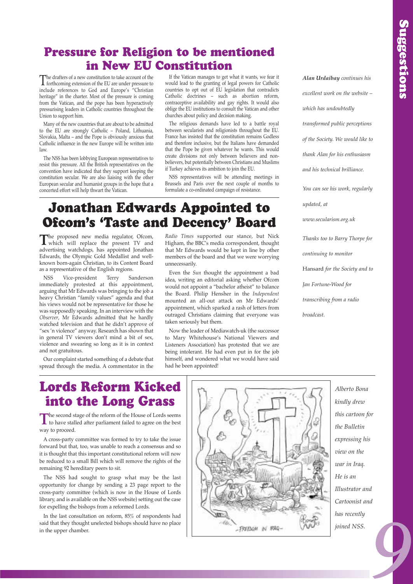# Pressure for Religion to be mentioned **in New EU Constitution**<br>The drafters of a new constitution to take account of the If the Vatican manages to get w

The drafters of a new constitution to take account of the forthcoming extension of the EU are under pressure to include references to God and Europe's <sup>n</sup>Christian heritage" in the charter. Most of the pressure is coming from the Vatican, and the pope has been hyperactively pressurising leaders in Catholic countries throughout the Union to support him.

Many of the new countries that are about to be admitted to the EU are strongly Catholic - Poland, Lithuania, Slovakia, Malta  $-$  and the Pope is obviously anxious that Catholic influence in the new Europe will be written into law.

The NSS has been lobbying European representatives to resist this pressure. All the British representatives on the convention have indicated that they support keeping the constitution secular. We are also liaising with the other European secular and humanist groups in the hope that a concerted effort will help thwart the Vatican.

If the Vatican manages to get what it wants, we fear it would lead to the granting of legal powers for Catholic countries to opt out of EU legislation that contradicts Catholic doctrines  $-$  such as abortion reform, contraceptive availability and gay rights. It would also oblige the EU institutions to consult the Vatican and other churches about policy and decision making.

The religious demands have led to a battle royal between secularists and religionists throughout the EU. France has insisted that the constitution remains Godless and therefore inclusive, but the Italians have demanded that the Pope be given whatever he wants. This would create divisions not only between believers and nonbelievers, but potentially between Christians and Muslims if Turkey achieves its ambition to join the EU.

NSS representatives will be attending meetings in Brussels and Paris over the next couple of months to formulate a co-ordinated campaign of resistance.

# Jonathan Edwards Appointed to Ofcom's 'Taste and Decency' Board

The proposed new media regulator, Ofcom,<br>
which will replace the present TV and advertising watchdogs, has appointed Jonathan Edwards, the Olympic Gold Medallist and wellknown born-again Christian, to its Content Board as a representative of the English regions.

NSS Vice-president Terry Sanderson immediately protested at this appointment, arguing that Mr Edwards was bringing to the job a heavy Christian "family values" agenda and that his views would not be representative for those he was supposedly speaking. In an interview with the *Observer*, Mr Edwards admitted that he hardly watched television and that he didn't approve of "sex 'n violence" anyway. Research has shown that in general TV viewers don't mind a bit of sex, violence and swearing so long as it is in context and not gratuitous.

Our complaint started something of a debate that spread through the media. A commentator in the

*Radio Times* supported our stance, but Nick Higham, the BBC's media correspondent, thought that Mr Edwards would be kept in line by other members of the board and that we were worrying unnecessarily.

Even the *Sun* thought the appointment a bad idea, writing an editorial asking whether Ofcom would not appoint a "bachelor atheist" to balance the Board. Philip Hensher in the *Independent* mounted an all-out attack on Mr Edwards' appointment, which sparked a rash of letters from outraged Christians claiming that everyone was taken seriously but them.

Now the leader of Mediawatch-uk (the successor to Mary Whitehouse's National Viewers and Listeners Association) has protested that we are being intolerant. He had even put in for the job himself, and wondered what we would have said had he been appointed!

*excellent work on the website*  $$ *which has undoubtedly transformed public perceptions of the Society. We would like to thank Alan for his enthusiasm and his technical brilliance. You can see his work, regularly updated, at www.secularism.org.uk Thanks too to Barry Thorpe for continuing to monitor* Hansard *for the Society and to Jan Fortune-Wood for transcribing from a radio broadcast.*

*Alan Urdaibay continues his*

# Lords Reform Kicked into the Long Grass

The second stage of the reform of the House of Lords seems<br>to have stalled after parliament failed to agree on the best way to proceed.

A cross-party committee was formed to try to take the issue forward but that, too, was unable to reach a consensus and so it is thought that this important constitutional reform will now be reduced to a small Bill which will remove the rights of the remaining 92 hereditary peers to sit.

The NSS had sought to grasp what may be the last opportunity for change by sending a 23 page report to the cross-party committee (which is now in the House of Lords library, and is available on the NSS website) setting out the case for expelling the bishops from a reformed Lords.

In the last consultation on reform, 85% of respondents had said that they thought unelected bishops should have no place in the upper chamber.



*9 Alberto Bona kindly drew this cartoon for the Bulletin expressing his view on the war in Iraq. He is an Illustrator and Cartoonist and has recently joined NSS.*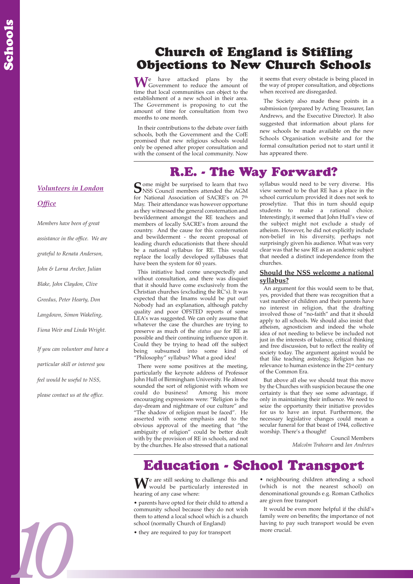### *Volunteers in London Office*

*Volunteers*<br> *10*Schools *Deffice*<br> *Members have*<br> *10Schools Alembers have*<br> *10Schools Long Long & Long Long Sune, John Clay*<br> *Creedus, Peter*<br> *Langdown, Sim*<br> *Fiona Weir and*<br> *If you can volut particular skill*<br> *Members have been of great assistance in the office. We are grateful to Renata Anderson, John & Lorna Archer, Julian Blake, John Claydon, Clive Greedus, Peter Hearty, Don Langdown, Simon Wakeling, Fiona Weir and Linda Wright. If you can volunteer and have a particular skill or interest you feel would be useful to NSS, please contact us at the office.*

TO NOT

# Church of England is Stifling Objections to New Church Schools

We have attacked plans by the<br>Government to reduce the amount of time that local communities can object to the establishment of a new school in their area. The Government is proposing to cut the amount of time for consultation from two months to one month.

In their contributions to the debate over faith schools, both the Government and the CofE promised that new religious schools would only be opened after proper consultation and with the consent of the local community. Now it seems that every obstacle is being placed in the way of proper consultation, and objections when received are disregarded.

The Society also made these points in a submission (prepared by Acting Treasurer, Ian Andrews, and the Executive Director). It also suggested that information about plans for new schools be made available on the new Schools Organisation website and for the formal consultation period not to start until it has appeared there.

### R.E. - The Way Forward?

Some might be surprised to learn that two<br>NSS Council members attended the AGM for National Association of SACRE's on 7th May. Their attendance was however opportune as they witnessed the general consternation and bewilderment amongst the RE teachers and members of locally SACRE's from around the country. And the cause for this consternation and bewilderment - the recent proposal of leading church educationists that there should be a national syllabus for RE. This would replace the locally developed syllabuses that have been the system for 60 years.

This initiative had come unexpectedly and without consultation, and there was disquiet that it should have come exclusively from the Christian churches (excluding the RC's). It was expected that the Imams would be put out! Nobody had an explanation, although patchy quality and poor OFSTED reports of some LEA's was suggested. We can only assume that whatever the case the churches are trying to preserve as much of the *status quo* for RE as possible and their continuing influence upon it. Could they be trying to head off the subject being subsumed into some kind of "Philosophy" syllabus? What a good idea!

There were some positives at the meeting, particularly the keynote address of Professor John Hull of Birmingham University. He almost sounded the sort of religionist with whom we could do business! Among his more encouraging expressions were: "Religion is the day-dream and nightmare of our culture" and "The shadow of religion must be faced". He asserted with some emphasis and to the obvious approval of the meeting that "the ambiguity of religion" could be better dealt with by the provision of RE in schools, and not by the churches. He also stressed that a national

syllabus would need to be very diverse. His view seemed to be that RE has a place in the school curriculum provided it does not seek to proselytize. That this in turn should equip students to make a rational choice. Interestingly, it seemed that John Hull's view of the subject might not exclude a study of atheism. However, he did not explicitly include non-belief in his diversity, perhaps not surprisingly given his audience. What was very clear was that he saw RE as an academic subject that needed a distinct independence from the churches.

#### **Should the NSS welcome a national syllabus?**

An argument for this would seem to be that, yes, provided that there was recognition that a vast number of children and their parents have no interest in religion, that the drafting involved those of "no-faith" and that it should apply to all schools. We should also insist that atheism, agnosticism and indeed the whole idea of not needing to believe be included not just in the interests of balance, critical thinking and free discussion, but to reflect the reality of society today. The argument against would be that like teaching astrology, Religion has no relevance to human existence in the 21st century of the Common Era.

But above all else we should treat this move by the Churches with suspicion because the one certainty is that they see some advantage, if only in maintaining their influence. We need to seize the opportunity their initiative provides for us to have an input. Furthermore, the necessary legislative changes could mean a secular funeral for that beast of 1944, collective worship. There's a thought!

Council Members *Malcolm Trahearn* and *Ian Andrews* 

# Education - School Transport

We are still seeking to challenge this and<br>would be particularly interested in hearing of any case where:

• parents have opted for their child to attend a community school because they do not wish them to attend a local school which is a church school (normally Church of England)

• they are required to pay for transport

• neighbouring children attending a school (which is not the nearest school) on denominational grounds e.g. Roman Catholics are given free transport

It would be even more helpful if the child's family were on benefits; the importance of not having to pay such transport would be even more crucial.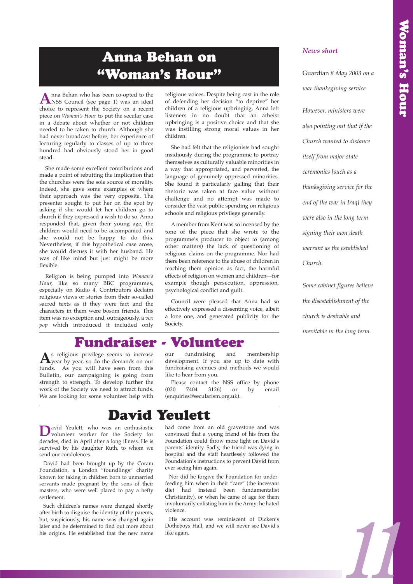# Anna Behan on "Woman's Hour"

A nna Behan who has been co-opted to the<br>NSS Council (see page 1) was an ideal choice to represent the Society on a recent piece on *Womanís Hour* to put the secular case in a debate about whether or not children needed to be taken to church. Although she had never broadcast before, her experience of lecturing regularly to classes of up to three hundred had obviously stood her in good stead.

She made some excellent contributions and made a point of rebutting the implication that the churches were the sole source of morality. Indeed, she gave some examples of where their approach was the very opposite. The presenter sought to put her on the spot by asking if she would let her children go to church if they expressed a wish to do so. Anna responded that, given their young age, the children would need to be accompanied and she would not be happy to do this. Nevertheless, if this hypothetical case arose, she would discuss it with her husband. He was of like mind but just might be more flexible.

Religion is being pumped into *Womanís Hour,* like so many BBC programmes, especially on Radio 4. Contributors declaim religious views or stories from their so-called sacred texts as if they were fact and the characters in them were bosom friends. This item was no exception and, outrageously, a *vox pop* which introduced it included only

religious voices. Despite being cast in the role of defending her decision "to deprive" her children of a religious upbringing, Anna left listeners in no doubt that an atheist upbringing is a positive choice and that she was instilling strong moral values in her children.

She had felt that the religionists had sought insidiously during the programme to portray themselves as culturally valuable minorities in a way that appropriated, and perverted, the language of genuinely oppressed minorities. She found it particularly galling that their rhetoric was taken at face value without challenge and no attempt was made to consider the vast public spending on religious schools and religious privilege generally.

A member from Kent was so incensed by the tone of the piece that she wrote to the programmeís producer to object to (among other matters) the lack of questioning of religious claims on the programme. Nor had there been reference to the abuse of children in teaching them opinion as fact, the harmful effects of religion on women and children-for example though persecution, oppression, psychological conflict and guilt.

Council were pleased that Anna had so effectively expressed a dissenting voice, albeit a lone one, and generated publicity for the Society.

As religious privilege seems to increase<br>
year by year, so do the demands on our funds. As you will have seen from this Bulletin, our campaigning is going from strength to strength. To develop further the work of the Society we need to attract funds.

# Fundraiser - Volunteer

our fundraising and membership development. If you are up to date with fundraising avenues and methods we would like to hear from you.

Please contact the NSS office by phone<br>(020 7404 3126) or by email  $3126$ (enquiries@secularism.org.uk).

### David Yeulett

**D**avid Yeulett, who was an enthusiastic<br>volunteer worker for the Society for decades, died in April after a long illness. He is survived by his daughter Ruth, to whom we send our condolences.

We are looking for some volunteer help with

David had been brought up by the Coram Foundation, a London "foundlings" charity known for taking in children born to unmarried servants made pregnant by the sons of their masters, who were well placed to pay a hefty settlement.

Such children's names were changed shortly after birth to disguise the identity of the parents, but, suspiciously, his name was changed again later and he determined to find out more about his origins. He established that the new name

had come from an old gravestone and was convinced that a young friend of his from the Foundation could throw more light on David's parents' identity. Sadly, the friend was dying in hospital and the staff heartlessly followed the Foundation's instructions to prevent David from ever seeing him again.

Nor did he forgive the Foundation for underfeeding him when in their "care" (the incessant diet had instead been fundamentalist Christianity), or when he came of age for them involuntarily enlisting him in the Army: he hated violence.

His account was reminiscent of Dicken's Dotheboys Hall, and we will never see David's like again.

### *News short*

Guardian *8 May 2003 on a war thanksgiving service However, ministers were also pointing out that if the Church wanted to distance itself from major state ceremonies [such as a thanksgiving service for the end of the war in Iraq] they were also in the long term signing their own death warrant as the established Church.* 

*Some cabinet figures believe the disestablishment of the church is desirable and inevitable in the long term.*

*11*